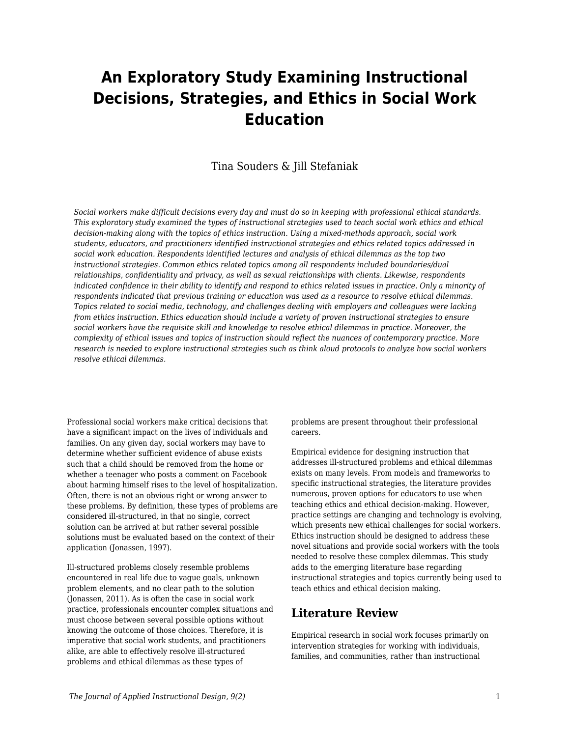# **An Exploratory Study Examining Instructional Decisions, Strategies, and Ethics in Social Work Education**

Tina Souders & Jill Stefaniak

*Social workers make difficult decisions every day and must do so in keeping with professional ethical standards. This exploratory study examined the types of instructional strategies used to teach social work ethics and ethical decision-making along with the topics of ethics instruction. Using a mixed-methods approach, social work students, educators, and practitioners identified instructional strategies and ethics related topics addressed in social work education. Respondents identified lectures and analysis of ethical dilemmas as the top two instructional strategies. Common ethics related topics among all respondents included boundaries/dual relationships, confidentiality and privacy, as well as sexual relationships with clients. Likewise, respondents indicated confidence in their ability to identify and respond to ethics related issues in practice. Only a minority of respondents indicated that previous training or education was used as a resource to resolve ethical dilemmas. Topics related to social media, technology, and challenges dealing with employers and colleagues were lacking from ethics instruction. Ethics education should include a variety of proven instructional strategies to ensure social workers have the requisite skill and knowledge to resolve ethical dilemmas in practice. Moreover, the complexity of ethical issues and topics of instruction should reflect the nuances of contemporary practice. More research is needed to explore instructional strategies such as think aloud protocols to analyze how social workers resolve ethical dilemmas.*

Professional social workers make critical decisions that have a significant impact on the lives of individuals and families. On any given day, social workers may have to determine whether sufficient evidence of abuse exists such that a child should be removed from the home or whether a teenager who posts a comment on Facebook about harming himself rises to the level of hospitalization. Often, there is not an obvious right or wrong answer to these problems. By definition, these types of problems are considered ill-structured, in that no single, correct solution can be arrived at but rather several possible solutions must be evaluated based on the context of their application (Jonassen, 1997).

Ill-structured problems closely resemble problems encountered in real life due to vague goals, unknown problem elements, and no clear path to the solution (Jonassen, 2011). As is often the case in social work practice, professionals encounter complex situations and must choose between several possible options without knowing the outcome of those choices. Therefore, it is imperative that social work students, and practitioners alike, are able to effectively resolve ill-structured problems and ethical dilemmas as these types of

problems are present throughout their professional careers.

Empirical evidence for designing instruction that addresses ill-structured problems and ethical dilemmas exists on many levels. From models and frameworks to specific instructional strategies, the literature provides numerous, proven options for educators to use when teaching ethics and ethical decision-making. However, practice settings are changing and technology is evolving, which presents new ethical challenges for social workers. Ethics instruction should be designed to address these novel situations and provide social workers with the tools needed to resolve these complex dilemmas. This study adds to the emerging literature base regarding instructional strategies and topics currently being used to teach ethics and ethical decision making.

## **Literature Review**

Empirical research in social work focuses primarily on intervention strategies for working with individuals, families, and communities, rather than instructional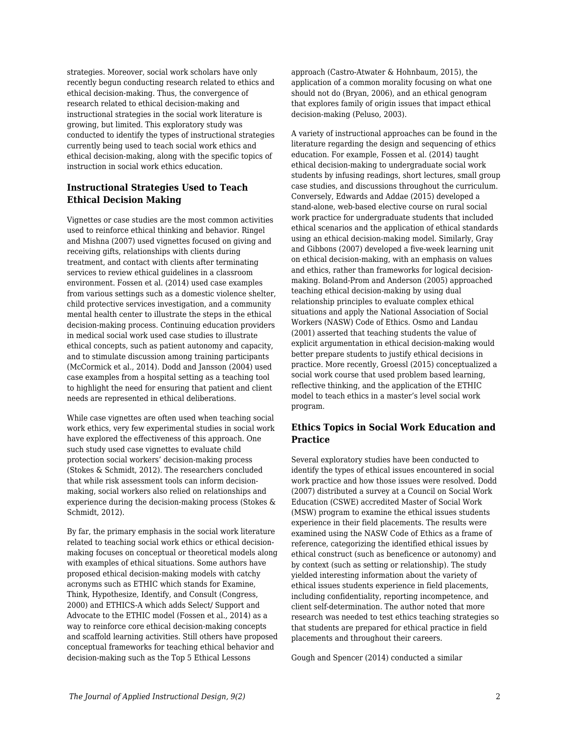strategies. Moreover, social work scholars have only recently begun conducting research related to ethics and ethical decision-making. Thus, the convergence of research related to ethical decision-making and instructional strategies in the social work literature is growing, but limited. This exploratory study was conducted to identify the types of instructional strategies currently being used to teach social work ethics and ethical decision-making, along with the specific topics of instruction in social work ethics education.

## **Instructional Strategies Used to Teach Ethical Decision Making**

Vignettes or case studies are the most common activities used to reinforce ethical thinking and behavior. Ringel and Mishna (2007) used vignettes focused on giving and receiving gifts, relationships with clients during treatment, and contact with clients after terminating services to review ethical guidelines in a classroom environment. Fossen et al. (2014) used case examples from various settings such as a domestic violence shelter, child protective services investigation, and a community mental health center to illustrate the steps in the ethical decision-making process. Continuing education providers in medical social work used case studies to illustrate ethical concepts, such as patient autonomy and capacity, and to stimulate discussion among training participants (McCormick et al., 2014). Dodd and Jansson (2004) used case examples from a hospital setting as a teaching tool to highlight the need for ensuring that patient and client needs are represented in ethical deliberations.

While case vignettes are often used when teaching social work ethics, very few experimental studies in social work have explored the effectiveness of this approach. One such study used case vignettes to evaluate child protection social workers' decision-making process (Stokes & Schmidt, 2012). The researchers concluded that while risk assessment tools can inform decisionmaking, social workers also relied on relationships and experience during the decision-making process (Stokes & Schmidt, 2012).

By far, the primary emphasis in the social work literature related to teaching social work ethics or ethical decisionmaking focuses on conceptual or theoretical models along with examples of ethical situations. Some authors have proposed ethical decision-making models with catchy acronyms such as ETHIC which stands for Examine, Think, Hypothesize, Identify, and Consult (Congress, 2000) and ETHICS-A which adds Select/ Support and Advocate to the ETHIC model (Fossen et al., 2014) as a way to reinforce core ethical decision-making concepts and scaffold learning activities. Still others have proposed conceptual frameworks for teaching ethical behavior and decision-making such as the Top 5 Ethical Lessons

approach (Castro-Atwater & Hohnbaum, 2015), the application of a common morality focusing on what one should not do (Bryan, 2006), and an ethical genogram that explores family of origin issues that impact ethical decision-making (Peluso, 2003).

A variety of instructional approaches can be found in the literature regarding the design and sequencing of ethics education. For example, Fossen et al. (2014) taught ethical decision-making to undergraduate social work students by infusing readings, short lectures, small group case studies, and discussions throughout the curriculum. Conversely, Edwards and Addae (2015) developed a stand-alone, web-based elective course on rural social work practice for undergraduate students that included ethical scenarios and the application of ethical standards using an ethical decision-making model. Similarly, Gray and Gibbons (2007) developed a five-week learning unit on ethical decision-making, with an emphasis on values and ethics, rather than frameworks for logical decisionmaking. Boland-Prom and Anderson (2005) approached teaching ethical decision-making by using dual relationship principles to evaluate complex ethical situations and apply the National Association of Social Workers (NASW) Code of Ethics. Osmo and Landau (2001) asserted that teaching students the value of explicit argumentation in ethical decision-making would better prepare students to justify ethical decisions in practice. More recently, Groessl (2015) conceptualized a social work course that used problem based learning, reflective thinking, and the application of the ETHIC model to teach ethics in a master's level social work program.

## **Ethics Topics in Social Work Education and Practice**

Several exploratory studies have been conducted to identify the types of ethical issues encountered in social work practice and how those issues were resolved. Dodd (2007) distributed a survey at a Council on Social Work Education (CSWE) accredited Master of Social Work (MSW) program to examine the ethical issues students experience in their field placements. The results were examined using the NASW Code of Ethics as a frame of reference, categorizing the identified ethical issues by ethical construct (such as beneficence or autonomy) and by context (such as setting or relationship). The study yielded interesting information about the variety of ethical issues students experience in field placements, including confidentiality, reporting incompetence, and client self-determination. The author noted that more research was needed to test ethics teaching strategies so that students are prepared for ethical practice in field placements and throughout their careers.

Gough and Spencer (2014) conducted a similar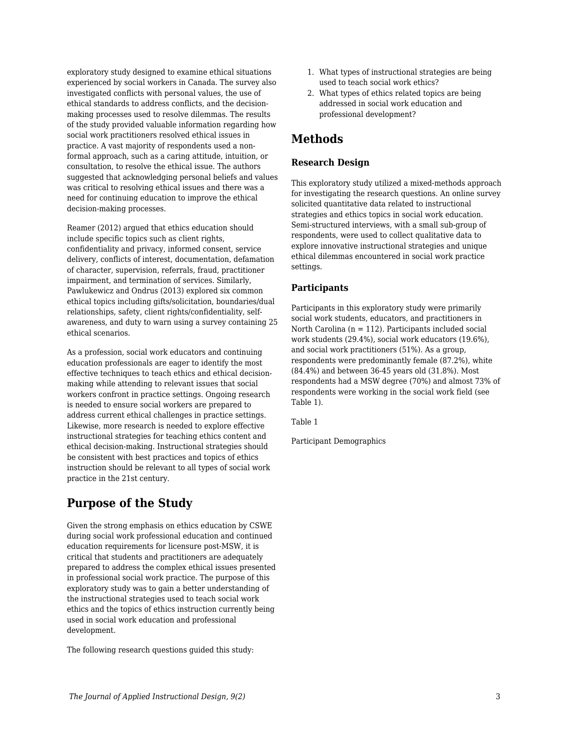exploratory study designed to examine ethical situations experienced by social workers in Canada. The survey also investigated conflicts with personal values, the use of ethical standards to address conflicts, and the decisionmaking processes used to resolve dilemmas. The results of the study provided valuable information regarding how social work practitioners resolved ethical issues in practice. A vast majority of respondents used a nonformal approach, such as a caring attitude, intuition, or consultation, to resolve the ethical issue. The authors suggested that acknowledging personal beliefs and values was critical to resolving ethical issues and there was a need for continuing education to improve the ethical decision-making processes.

Reamer (2012) argued that ethics education should include specific topics such as client rights, confidentiality and privacy, informed consent, service delivery, conflicts of interest, documentation, defamation of character, supervision, referrals, fraud, practitioner impairment, and termination of services. Similarly, Pawlukewicz and Ondrus (2013) explored six common ethical topics including gifts/solicitation, boundaries/dual relationships, safety, client rights/confidentiality, selfawareness, and duty to warn using a survey containing 25 ethical scenarios.

As a profession, social work educators and continuing education professionals are eager to identify the most effective techniques to teach ethics and ethical decisionmaking while attending to relevant issues that social workers confront in practice settings. Ongoing research is needed to ensure social workers are prepared to address current ethical challenges in practice settings. Likewise, more research is needed to explore effective instructional strategies for teaching ethics content and ethical decision-making. Instructional strategies should be consistent with best practices and topics of ethics instruction should be relevant to all types of social work practice in the 21st century.

## **Purpose of the Study**

Given the strong emphasis on ethics education by CSWE during social work professional education and continued education requirements for licensure post-MSW, it is critical that students and practitioners are adequately prepared to address the complex ethical issues presented in professional social work practice. The purpose of this exploratory study was to gain a better understanding of the instructional strategies used to teach social work ethics and the topics of ethics instruction currently being used in social work education and professional development.

The following research questions guided this study:

- 1. What types of instructional strategies are being used to teach social work ethics?
- 2. What types of ethics related topics are being addressed in social work education and professional development?

## **Methods**

## **Research Design**

This exploratory study utilized a mixed-methods approach for investigating the research questions. An online survey solicited quantitative data related to instructional strategies and ethics topics in social work education. Semi-structured interviews, with a small sub-group of respondents, were used to collect qualitative data to explore innovative instructional strategies and unique ethical dilemmas encountered in social work practice settings.

## **Participants**

Participants in this exploratory study were primarily social work students, educators, and practitioners in North Carolina ( $n = 112$ ). Participants included social work students (29.4%), social work educators (19.6%), and social work practitioners (51%). As a group, respondents were predominantly female (87.2%), white (84.4%) and between 36-45 years old (31.8%). Most respondents had a MSW degree (70%) and almost 73% of respondents were working in the social work field (see Table 1).

Table 1

Participant Demographics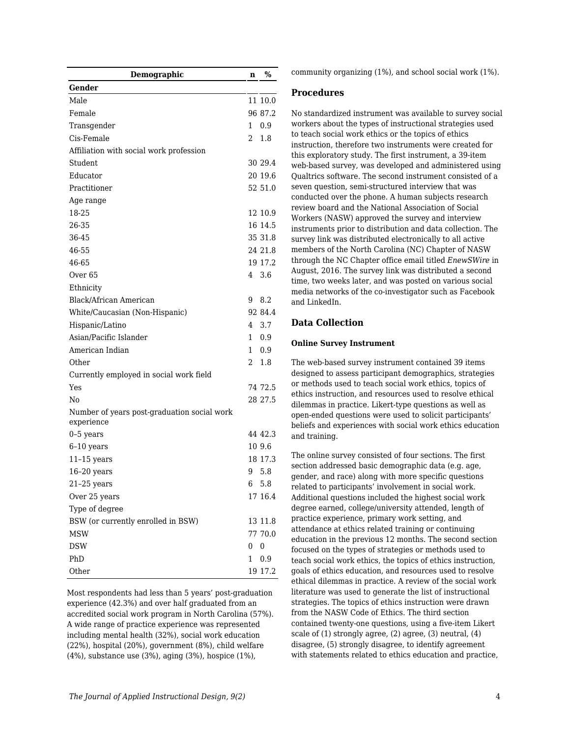| Demographic                                               | n            | %       |
|-----------------------------------------------------------|--------------|---------|
| Gender                                                    |              |         |
| Male                                                      |              | 11 10.0 |
| Female                                                    |              | 96 87.2 |
| Transgender                                               | 1            | 0.9     |
| Cis-Female                                                | 2            | 1.8     |
| Affiliation with social work profession                   |              |         |
| Student                                                   |              | 30 29.4 |
| Educator                                                  |              | 20 19.6 |
| Practitioner                                              |              | 52 51.0 |
| Age range                                                 |              |         |
| 18-25                                                     |              | 12 10.9 |
| 26-35                                                     |              | 16 14.5 |
| 36-45                                                     |              | 35 31.8 |
| 46-55                                                     |              | 24 21.8 |
| 46-65                                                     |              | 19 17.2 |
| Over <sub>65</sub>                                        | 4            | 3.6     |
| Ethnicity                                                 |              |         |
| Black/African American                                    | 9            | 8.2     |
| White/Caucasian (Non-Hispanic)                            |              | 92 84.4 |
| Hispanic/Latino                                           | 4            | 3.7     |
| Asian/Pacific Islander                                    | $\mathbf{1}$ | 0.9     |
| American Indian                                           | 1            | 0.9     |
| Other                                                     | 2            | 1.8     |
| Currently employed in social work field                   |              |         |
| Yes                                                       |              | 74 72.5 |
| No                                                        |              | 28 27.5 |
| Number of years post-graduation social work<br>experience |              |         |
| $0-5$ years                                               |              | 44 42.3 |
| $6-10$ years                                              |              | 10 9.6  |
| $11-15$ years                                             |              | 18 17.3 |
| $16-20$ years                                             | 9            | 5.8     |
| $21-25$ years                                             |              | 6 5.8   |
| Over 25 years                                             |              | 17 16.4 |
| Type of degree                                            |              |         |
| BSW (or currently enrolled in BSW)                        |              | 13 11.8 |
| <b>MSW</b>                                                |              | 77 70.0 |
| <b>DSW</b>                                                | 0            | 0       |
| PhD                                                       | 1            | 0.9     |
| Other                                                     |              | 19 17.2 |

Most respondents had less than 5 years' post-graduation experience (42.3%) and over half graduated from an accredited social work program in North Carolina (57%). A wide range of practice experience was represented including mental health (32%), social work education (22%), hospital (20%), government (8%), child welfare (4%), substance use (3%), aging (3%), hospice (1%),

community organizing (1%), and school social work (1%).

### **Procedures**

No standardized instrument was available to survey social workers about the types of instructional strategies used to teach social work ethics or the topics of ethics instruction, therefore two instruments were created for this exploratory study. The first instrument, a 39-item web-based survey, was developed and administered using Qualtrics software. The second instrument consisted of a seven question, semi-structured interview that was conducted over the phone. A human subjects research review board and the National Association of Social Workers (NASW) approved the survey and interview instruments prior to distribution and data collection. The survey link was distributed electronically to all active members of the North Carolina (NC) Chapter of NASW through the NC Chapter office email titled *EnewSWire* in August, 2016. The survey link was distributed a second time, two weeks later, and was posted on various social media networks of the co-investigator such as Facebook and LinkedIn.

## **Data Collection**

#### **Online Survey Instrument**

The web-based survey instrument contained 39 items designed to assess participant demographics, strategies or methods used to teach social work ethics, topics of ethics instruction, and resources used to resolve ethical dilemmas in practice. Likert-type questions as well as open-ended questions were used to solicit participants' beliefs and experiences with social work ethics education and training.

The online survey consisted of four sections. The first section addressed basic demographic data (e.g. age, gender, and race) along with more specific questions related to participants' involvement in social work. Additional questions included the highest social work degree earned, college/university attended, length of practice experience, primary work setting, and attendance at ethics related training or continuing education in the previous 12 months. The second section focused on the types of strategies or methods used to teach social work ethics, the topics of ethics instruction, goals of ethics education, and resources used to resolve ethical dilemmas in practice. A review of the social work literature was used to generate the list of instructional strategies. The topics of ethics instruction were drawn from the NASW Code of Ethics. The third section contained twenty-one questions, using a five-item Likert scale of (1) strongly agree, (2) agree, (3) neutral, (4) disagree, (5) strongly disagree, to identify agreement with statements related to ethics education and practice,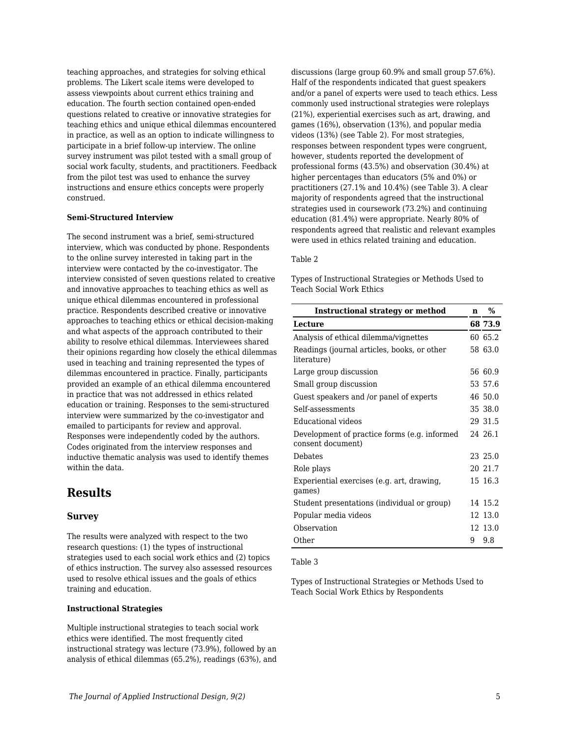teaching approaches, and strategies for solving ethical problems. The Likert scale items were developed to assess viewpoints about current ethics training and education. The fourth section contained open-ended questions related to creative or innovative strategies for teaching ethics and unique ethical dilemmas encountered in practice, as well as an option to indicate willingness to participate in a brief follow-up interview. The online survey instrument was pilot tested with a small group of social work faculty, students, and practitioners. Feedback from the pilot test was used to enhance the survey instructions and ensure ethics concepts were properly construed.

#### **Semi-Structured Interview**

The second instrument was a brief, semi-structured interview, which was conducted by phone. Respondents to the online survey interested in taking part in the interview were contacted by the co-investigator. The interview consisted of seven questions related to creative and innovative approaches to teaching ethics as well as unique ethical dilemmas encountered in professional practice. Respondents described creative or innovative approaches to teaching ethics or ethical decision-making and what aspects of the approach contributed to their ability to resolve ethical dilemmas. Interviewees shared their opinions regarding how closely the ethical dilemmas used in teaching and training represented the types of dilemmas encountered in practice. Finally, participants provided an example of an ethical dilemma encountered in practice that was not addressed in ethics related education or training. Responses to the semi-structured interview were summarized by the co-investigator and emailed to participants for review and approval. Responses were independently coded by the authors. Codes originated from the interview responses and inductive thematic analysis was used to identify themes within the data.

## **Results**

### **Survey**

The results were analyzed with respect to the two research questions: (1) the types of instructional strategies used to each social work ethics and (2) topics of ethics instruction. The survey also assessed resources used to resolve ethical issues and the goals of ethics training and education.

#### **Instructional Strategies**

Multiple instructional strategies to teach social work ethics were identified. The most frequently cited instructional strategy was lecture (73.9%), followed by an analysis of ethical dilemmas (65.2%), readings (63%), and discussions (large group 60.9% and small group 57.6%). Half of the respondents indicated that guest speakers and/or a panel of experts were used to teach ethics. Less commonly used instructional strategies were roleplays (21%), experiential exercises such as art, drawing, and games (16%), observation (13%), and popular media videos (13%) (see Table 2). For most strategies, responses between respondent types were congruent, however, students reported the development of professional forms (43.5%) and observation (30.4%) at higher percentages than educators (5% and 0%) or practitioners (27.1% and 10.4%) (see Table 3). A clear majority of respondents agreed that the instructional strategies used in coursework (73.2%) and continuing education (81.4%) were appropriate. Nearly 80% of respondents agreed that realistic and relevant examples were used in ethics related training and education.

#### Table 2

Types of Instructional Strategies or Methods Used to Teach Social Work Ethics

| <b>Instructional strategy or method</b>                           | n  | %       |
|-------------------------------------------------------------------|----|---------|
| Lecture                                                           |    | 68 73.9 |
| Analysis of ethical dilemma/vignettes                             |    | 60 65.2 |
| Readings (journal articles, books, or other<br>literature)        |    | 58 63.0 |
| Large group discussion                                            |    | 56 60.9 |
| Small group discussion                                            |    | 53 57.6 |
| Guest speakers and /or panel of experts                           |    | 46 50.0 |
| Self-assessments                                                  |    | 35 38.0 |
| Educational videos                                                |    | 29 31.5 |
| Development of practice forms (e.g. informed<br>consent document) |    | 24 26.1 |
| Debates                                                           |    | 23 25.0 |
| Role plays                                                        |    | 20 21.7 |
| Experiential exercises (e.g. art, drawing,<br>games)              |    | 15 16.3 |
| Student presentations (individual or group)                       |    | 14 15.2 |
| Popular media videos                                              |    | 12 13 0 |
| Observation                                                       |    | 12 13.0 |
| Other                                                             | 9. | 9.8     |

#### Table 3

Types of Instructional Strategies or Methods Used to Teach Social Work Ethics by Respondents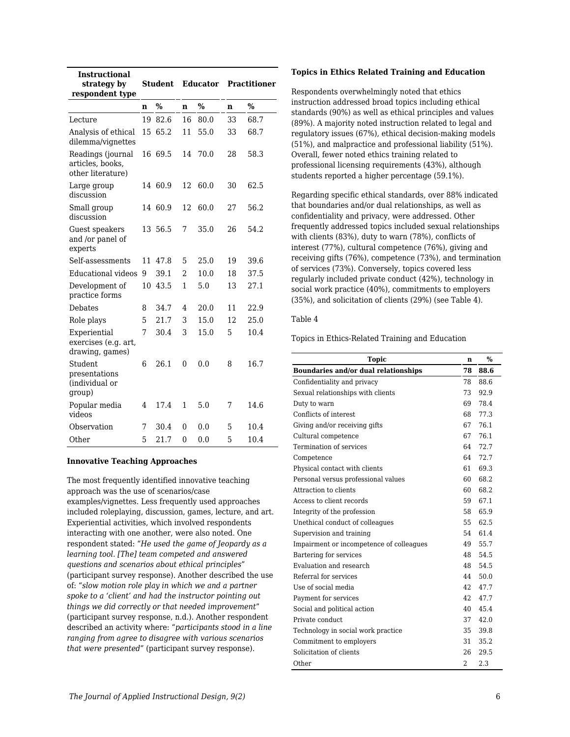| <b>Instructional</b><br>strategy by<br>respondent type     | Student |         | <b>Educator</b> | <b>Practitioner</b> |    |               |
|------------------------------------------------------------|---------|---------|-----------------|---------------------|----|---------------|
|                                                            | n       | $\%$    | n               | $\frac{0}{0}$       | n  | $\frac{0}{0}$ |
| Lecture                                                    | 19      | 82.6    | 16              | 80.0                | 33 | 68.7          |
| Analysis of ethical<br>dilemma/vignettes                   | 15      | 65.2    | 11              | 55.0                | 33 | 68.7          |
| Readings (journal<br>articles, books,<br>other literature) | 16      | 69.5    | 14              | 70.0                | 28 | 58.3          |
| Large group<br>discussion                                  |         | 14 60.9 | 12              | 60.0                | 30 | 62.5          |
| Small group<br>discussion                                  |         | 14 60.9 | 12              | 60.0                | 27 | 56.2          |
| Guest speakers<br>and /or panel of<br>experts              |         | 13 56.5 | 7               | 35.0                | 26 | 54.2          |
| Self-assessments                                           | 11      | 47.8    | 5               | 25.0                | 19 | 39.6          |
| <b>Educational</b> videos                                  | 9       | 39.1    | $\overline{2}$  | 10.0                | 18 | 37.5          |
| Development of<br>practice forms                           | 10      | 43.5    | 1               | 5.0                 | 13 | 27.1          |
| <b>Debates</b>                                             | 8       | 34.7    | 4               | 20.0                | 11 | 22.9          |
| Role plays                                                 | 5       | 21.7    | 3               | 15.0                | 12 | 25.0          |
| Experiential<br>exercises (e.g. art,<br>drawing, games)    | 7       | 30.4    | 3               | 15.0                | 5  | 10.4          |
| Student<br>presentations<br>(individual or<br>group)       | 6       | 26.1    | 0               | 0.0                 | 8  | 16.7          |
| Popular media<br>videos                                    | 4       | 17.4    | 1               | 5.0                 | 7  | 14.6          |
| Observation                                                | 7       | 30.4    | 0               | 0.0                 | 5  | 10.4          |
| Other                                                      | 5       | 21.7    | $\theta$        | 0.0                 | 5  | 10.4          |

#### **Innovative Teaching Approaches**

The most frequently identified innovative teaching approach was the use of scenarios/case examples/vignettes. Less frequently used approaches included roleplaying, discussion, games, lecture, and art. Experiential activities, which involved respondents interacting with one another, were also noted. One respondent stated: "*He used the game of Jeopardy as a learning tool. [The] team competed and answered questions and scenarios about ethical principles*" (participant survey response). Another described the use of: "*slow motion role play in which we and a partner spoke to a 'client' and had the instructor pointing out things we did correctly or that needed improvement*" (participant survey response, n.d.). Another respondent described an activity where: "*participants stood in a line ranging from agree to disagree with various scenarios that were presented*" (participant survey response).

#### **Topics in Ethics Related Training and Education**

Respondents overwhelmingly noted that ethics instruction addressed broad topics including ethical standards (90%) as well as ethical principles and values (89%). A majority noted instruction related to legal and regulatory issues (67%), ethical decision-making models (51%), and malpractice and professional liability (51%). Overall, fewer noted ethics training related to professional licensing requirements (43%), although students reported a higher percentage (59.1%).

Regarding specific ethical standards, over 88% indicated that boundaries and/or dual relationships, as well as confidentiality and privacy, were addressed. Other frequently addressed topics included sexual relationships with clients (83%), duty to warn (78%), conflicts of interest (77%), cultural competence (76%), giving and receiving gifts (76%), competence (73%), and termination of services (73%). Conversely, topics covered less regularly included private conduct (42%), technology in social work practice (40%), commitments to employers (35%), and solicitation of clients (29%) (see Table 4).

#### Table 4

Topics in Ethics-Related Training and Education

| <b>Topic</b>                                | n   | $\%$ |
|---------------------------------------------|-----|------|
| <b>Boundaries and/or dual relationships</b> | 78  | 88.6 |
| Confidentiality and privacy                 | 78  | 88.6 |
| Sexual relationships with clients           | 73  | 92.9 |
| Duty to warn                                | 69  | 78.4 |
| Conflicts of interest                       | 68  | 77.3 |
| Giving and/or receiving gifts               | 67  | 76.1 |
| Cultural competence                         | 67  | 76.1 |
| Termination of services                     | 64  | 72.7 |
| Competence                                  | 64  | 72.7 |
| Physical contact with clients               | 61  | 69.3 |
| Personal versus professional values         | 60  | 68.2 |
| Attraction to clients                       | 60  | 68.2 |
| Access to client records                    | 59  | 67.1 |
| Integrity of the profession                 | 58  | 65.9 |
| Unethical conduct of colleagues             | 55  | 62.5 |
| Supervision and training                    | 54  | 61.4 |
| Impairment or incompetence of colleagues    | 49  | 55.7 |
| Bartering for services                      | 48  | 54.5 |
| Evaluation and research                     | 48  | 54.5 |
| Referral for services                       | 44  | 50.0 |
| Use of social media                         | 42. | 47.7 |
| Payment for services                        | 42  | 47.7 |
| Social and political action                 | 40  | 45.4 |
| Private conduct                             | 37  | 42.0 |
| Technology in social work practice          | 35  | 39.8 |
| Commitment to employers                     | 31  | 35.2 |
| Solicitation of clients                     | 26  | 29.5 |
| Other                                       | 2   | 2.3  |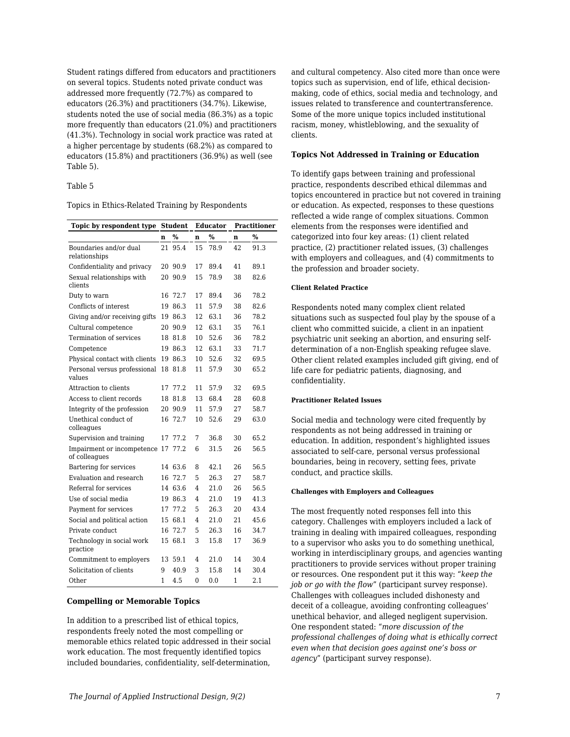Student ratings differed from educators and practitioners on several topics. Students noted private conduct was addressed more frequently (72.7%) as compared to educators (26.3%) and practitioners (34.7%). Likewise, students noted the use of social media (86.3%) as a topic more frequently than educators (21.0%) and practitioners (41.3%). Technology in social work practice was rated at a higher percentage by students (68.2%) as compared to educators (15.8%) and practitioners (36.9%) as well (see Table 5).

#### Table 5

Topics in Ethics-Related Training by Respondents

| Topic by respondent type                    | <b>Student</b> |         | <b>Educator</b> |      | <b>Practitioner</b> |      |
|---------------------------------------------|----------------|---------|-----------------|------|---------------------|------|
|                                             | n              | %       | n               | %    | n                   | $\%$ |
| Boundaries and/or dual<br>relationships     | 21             | 95.4    | 15              | 78.9 | 42                  | 91.3 |
| Confidentiality and privacy                 |                | 20 90.9 | 17              | 89.4 | 41                  | 89.1 |
| Sexual relationships with<br>clients        | 20             | 90.9    | 15              | 78.9 | 38                  | 82.6 |
| Duty to warn                                | 16             | 72.7    | 17              | 89.4 | 36                  | 78.2 |
| Conflicts of interest                       | 19             | 86.3    | 11              | 57.9 | 38                  | 82.6 |
| Giving and/or receiving gifts               | 19             | 86.3    | 12              | 63.1 | 36                  | 78.2 |
| Cultural competence                         | 20             | 90.9    | 12              | 63.1 | 35                  | 76.1 |
| Termination of services                     | 18             | 81.8    | 10              | 52.6 | 36                  | 78.2 |
| Competence                                  | 19             | 86.3    | 12              | 63.1 | 33                  | 71.7 |
| Physical contact with clients               | 19             | 86.3    | 10              | 52.6 | 32                  | 69.5 |
| Personal versus professional<br>values      | 18             | 81.8    | 11              | 57.9 | 30                  | 65.2 |
| Attraction to clients                       | 17             | 77.2    | 11              | 57.9 | 32                  | 69.5 |
| Access to client records                    | 18             | 81.8    | 13              | 68.4 | 28                  | 60.8 |
| Integrity of the profession                 | 20             | 90.9    | 11              | 57.9 | 27                  | 58.7 |
| Unethical conduct of<br>colleagues          | 16             | 72.7    | 10              | 52.6 | 29                  | 63.0 |
| Supervision and training                    | 17             | 77.2    | 7               | 36.8 | 30                  | 65.2 |
| Impairment or incompetence<br>of colleagues | 17             | 77.2    | 6               | 31.5 | 26                  | 56.5 |
| Bartering for services                      |                | 14 63.6 | 8               | 42.1 | 26                  | 56.5 |
| Evaluation and research                     | 16             | 72.7    | 5               | 26.3 | 27                  | 58.7 |
| Referral for services                       | 14             | 63.6    | 4               | 21.0 | 26                  | 56.5 |
| Use of social media                         | 19             | 86.3    | 4               | 21.0 | 19                  | 41.3 |
| Payment for services                        | 17             | 77.2    | 5               | 26.3 | 20                  | 43.4 |
| Social and political action                 | 15             | 68.1    | 4               | 21.0 | 21                  | 45.6 |
| Private conduct                             | 16             | 72.7    | 5               | 26.3 | 16                  | 34.7 |
| Technology in social work<br>practice       | 15             | 68.1    | 3               | 15.8 | 17                  | 36.9 |
| Commitment to employers                     | 13             | 59.1    | 4               | 21.0 | 14                  | 30.4 |
| Solicitation of clients                     | 9              | 40.9    | 3               | 15.8 | 14                  | 30.4 |
| Other                                       | 1              | 4.5     | $\Omega$        | 0.0  | 1                   | 2.1  |

#### **Compelling or Memorable Topics**

In addition to a prescribed list of ethical topics, respondents freely noted the most compelling or memorable ethics related topic addressed in their social work education. The most frequently identified topics included boundaries, confidentiality, self-determination,

and cultural competency. Also cited more than once were topics such as supervision, end of life, ethical decisionmaking, code of ethics, social media and technology, and issues related to transference and countertransference. Some of the more unique topics included institutional racism, money, whistleblowing, and the sexuality of clients.

#### **Topics Not Addressed in Training or Education**

To identify gaps between training and professional practice, respondents described ethical dilemmas and topics encountered in practice but not covered in training or education. As expected, responses to these questions reflected a wide range of complex situations. Common elements from the responses were identified and categorized into four key areas: (1) client related practice, (2) practitioner related issues, (3) challenges with employers and colleagues, and (4) commitments to the profession and broader society.

#### **Client Related Practice**

Respondents noted many complex client related situations such as suspected foul play by the spouse of a client who committed suicide, a client in an inpatient psychiatric unit seeking an abortion, and ensuring selfdetermination of a non-English speaking refugee slave. Other client related examples included gift giving, end of life care for pediatric patients, diagnosing, and confidentiality.

#### **Practitioner Related Issues**

Social media and technology were cited frequently by respondents as not being addressed in training or education. In addition, respondent's highlighted issues associated to self-care, personal versus professional boundaries, being in recovery, setting fees, private conduct, and practice skills.

#### **Challenges with Employers and Colleagues**

The most frequently noted responses fell into this category. Challenges with employers included a lack of training in dealing with impaired colleagues, responding to a supervisor who asks you to do something unethical, working in interdisciplinary groups, and agencies wanting practitioners to provide services without proper training or resources. One respondent put it this way: "*keep the job or go with the flow*" (participant survey response). Challenges with colleagues included dishonesty and deceit of a colleague, avoiding confronting colleagues' unethical behavior, and alleged negligent supervision. One respondent stated: "*more discussion of the professional challenges of doing what is ethically correct even when that decision goes against one's boss or agency*" (participant survey response).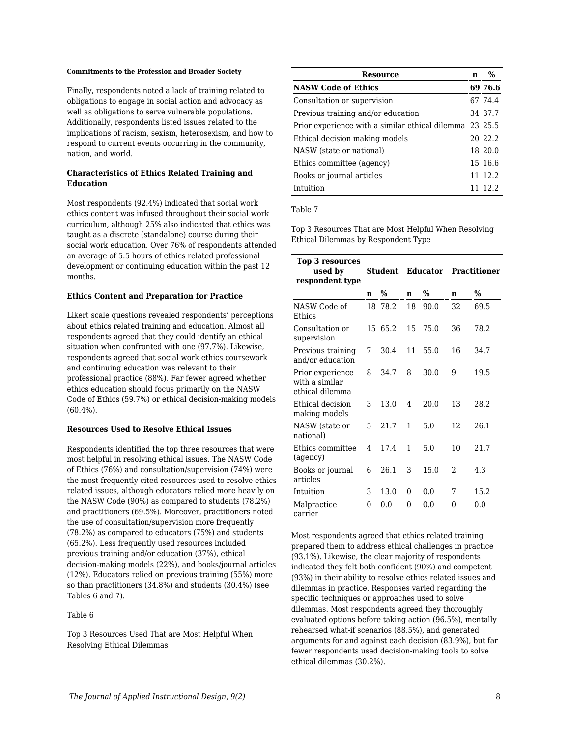#### **Commitments to the Profession and Broader Society**

Finally, respondents noted a lack of training related to obligations to engage in social action and advocacy as well as obligations to serve vulnerable populations. Additionally, respondents listed issues related to the implications of racism, sexism, heterosexism, and how to respond to current events occurring in the community, nation, and world.

### **Characteristics of Ethics Related Training and Education**

Most respondents (92.4%) indicated that social work ethics content was infused throughout their social work curriculum, although 25% also indicated that ethics was taught as a discrete (standalone) course during their social work education. Over 76% of respondents attended an average of 5.5 hours of ethics related professional development or continuing education within the past 12 months.

#### **Ethics Content and Preparation for Practice**

Likert scale questions revealed respondents' perceptions about ethics related training and education. Almost all respondents agreed that they could identify an ethical situation when confronted with one (97.7%). Likewise, respondents agreed that social work ethics coursework and continuing education was relevant to their professional practice (88%). Far fewer agreed whether ethics education should focus primarily on the NASW Code of Ethics (59.7%) or ethical decision-making models (60.4%).

#### **Resources Used to Resolve Ethical Issues**

Respondents identified the top three resources that were most helpful in resolving ethical issues. The NASW Code of Ethics (76%) and consultation/supervision (74%) were the most frequently cited resources used to resolve ethics related issues, although educators relied more heavily on the NASW Code (90%) as compared to students (78.2%) and practitioners (69.5%). Moreover, practitioners noted the use of consultation/supervision more frequently (78.2%) as compared to educators (75%) and students (65.2%). Less frequently used resources included previous training and/or education (37%), ethical decision-making models (22%), and books/journal articles (12%). Educators relied on previous training (55%) more so than practitioners (34.8%) and students (30.4%) (see Tables 6 and 7).

#### Table 6

Top 3 Resources Used That are Most Helpful When Resolving Ethical Dilemmas

| Resource                                                | n | $\%$    |
|---------------------------------------------------------|---|---------|
| <b>NASW Code of Ethics</b>                              |   | 69 76.6 |
| Consultation or supervision                             |   | 67 74.4 |
| Previous training and/or education                      |   | 34 37.7 |
| Prior experience with a similar ethical dilemma 23 25.5 |   |         |
| Ethical decision making models                          |   | 20 22.2 |
| NASW (state or national)                                |   | 18 20.0 |
| Ethics committee (agency)                               |   | 15 16.6 |
| Books or journal articles                               |   | 11 12.2 |
| Intuition                                               |   | 11 12 2 |

#### Table 7

Top 3 Resources That are Most Helpful When Resolving Ethical Dilemmas by Respondent Type

| <b>Top 3 resources</b><br>used by<br>respondent type  |          | <b>Student</b> | <b>Educator</b> |      | <b>Practitioner</b> |               |  |
|-------------------------------------------------------|----------|----------------|-----------------|------|---------------------|---------------|--|
|                                                       | n        | %              | n               | $\%$ | $\mathbf n$         | $\frac{0}{0}$ |  |
| NASW Code of<br>Ethics                                |          | 18 78.2        | 18              | 90.0 | 32                  | 69.5          |  |
| Consultation or<br>supervision                        |          | 15 65.2        | 15              | 75.0 | 36                  | 78.2          |  |
| Previous training<br>and/or education                 | 7        | 30.4           | 11              | 55.0 | 16                  | 34.7          |  |
| Prior experience<br>with a similar<br>ethical dilemma | 8        | 34.7           | 8               | 30.0 | 9                   | 19.5          |  |
| Ethical decision<br>making models                     | 3        | 13.0           | 4               | 20.0 | 13                  | 28.2          |  |
| NASW (state or<br>national)                           | 5        | 21.7           | 1               | 5.0  | 12                  | 26.1          |  |
| Ethics committee<br>(agency)                          | 4        | 17.4           | 1               | 5.0  | 10                  | 21.7          |  |
| Books or journal<br>articles                          | 6        | 26.1           | 3               | 15.0 | 2                   | 4.3           |  |
| Intuition                                             | 3        | 13.0           | 0               | 0.0  | 7                   | 15.2          |  |
| Malpractice<br>carrier                                | $\theta$ | 0.0            | 0               | 0.0  | 0                   | 0.0           |  |

Most respondents agreed that ethics related training prepared them to address ethical challenges in practice (93.1%). Likewise, the clear majority of respondents indicated they felt both confident (90%) and competent (93%) in their ability to resolve ethics related issues and dilemmas in practice. Responses varied regarding the specific techniques or approaches used to solve dilemmas. Most respondents agreed they thoroughly evaluated options before taking action (96.5%), mentally rehearsed what-if scenarios (88.5%), and generated arguments for and against each decision (83.9%), but far fewer respondents used decision-making tools to solve ethical dilemmas (30.2%).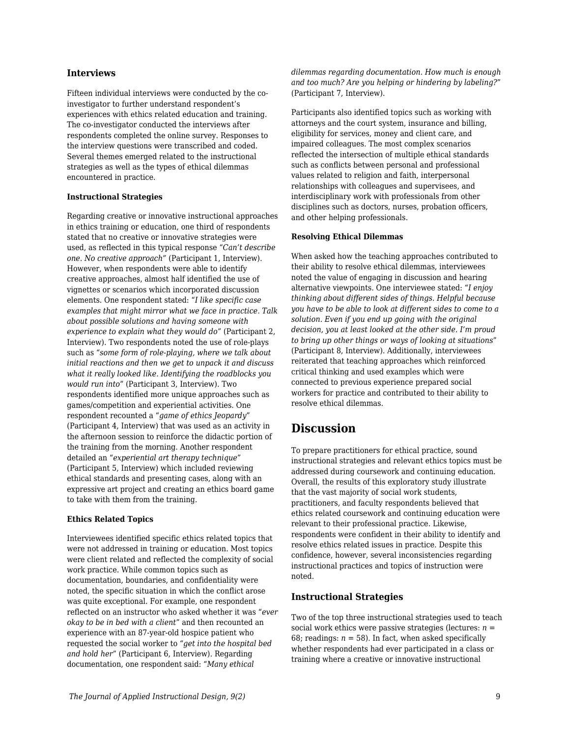### **Interviews**

Fifteen individual interviews were conducted by the coinvestigator to further understand respondent's experiences with ethics related education and training. The co-investigator conducted the interviews after respondents completed the online survey. Responses to the interview questions were transcribed and coded. Several themes emerged related to the instructional strategies as well as the types of ethical dilemmas encountered in practice.

#### **Instructional Strategies**

Regarding creative or innovative instructional approaches in ethics training or education, one third of respondents stated that no creative or innovative strategies were used, as reflected in this typical response "*Can't describe one. No creative approach"* (Participant 1, Interview). However, when respondents were able to identify creative approaches, almost half identified the use of vignettes or scenarios which incorporated discussion elements. One respondent stated: "*I like specific case examples that might mirror what we face in practice. Talk about possible solutions and having someone with experience to explain what they would do"* (Participant 2, Interview). Two respondents noted the use of role-plays such as "*some form of role-playing, where we talk about initial reactions and then we get to unpack it and discuss what it really looked like. Identifying the roadblocks you would run into*" (Participant 3, Interview). Two respondents identified more unique approaches such as games/competition and experiential activities. One respondent recounted a "*game of ethics Jeopardy*" (Participant 4, Interview) that was used as an activity in the afternoon session to reinforce the didactic portion of the training from the morning. Another respondent detailed an "*experiential art therapy technique*" (Participant 5, Interview) which included reviewing ethical standards and presenting cases, along with an expressive art project and creating an ethics board game to take with them from the training.

#### **Ethics Related Topics**

Interviewees identified specific ethics related topics that were not addressed in training or education. Most topics were client related and reflected the complexity of social work practice. While common topics such as documentation, boundaries, and confidentiality were noted, the specific situation in which the conflict arose was quite exceptional. For example, one respondent reflected on an instructor who asked whether it was "*ever okay to be in bed with a client*" and then recounted an experience with an 87-year-old hospice patient who requested the social worker to "*get into the hospital bed and hold her*" (Participant 6, Interview). Regarding documentation, one respondent said: "*Many ethical*

*dilemmas regarding documentation. How much is enough and too much? Are you helping or hindering by labeling?*" (Participant 7, Interview).

Participants also identified topics such as working with attorneys and the court system, insurance and billing, eligibility for services, money and client care, and impaired colleagues. The most complex scenarios reflected the intersection of multiple ethical standards such as conflicts between personal and professional values related to religion and faith, interpersonal relationships with colleagues and supervisees, and interdisciplinary work with professionals from other disciplines such as doctors, nurses, probation officers, and other helping professionals.

#### **Resolving Ethical Dilemmas**

When asked how the teaching approaches contributed to their ability to resolve ethical dilemmas, interviewees noted the value of engaging in discussion and hearing alternative viewpoints. One interviewee stated: "*I enjoy thinking about different sides of things. Helpful because you have to be able to look at different sides to come to a solution. Even if you end up going with the original decision, you at least looked at the other side. I'm proud to bring up other things or ways of looking at situations*" (Participant 8, Interview). Additionally, interviewees reiterated that teaching approaches which reinforced critical thinking and used examples which were connected to previous experience prepared social workers for practice and contributed to their ability to resolve ethical dilemmas.

## **Discussion**

To prepare practitioners for ethical practice, sound instructional strategies and relevant ethics topics must be addressed during coursework and continuing education. Overall, the results of this exploratory study illustrate that the vast majority of social work students, practitioners, and faculty respondents believed that ethics related coursework and continuing education were relevant to their professional practice. Likewise, respondents were confident in their ability to identify and resolve ethics related issues in practice. Despite this confidence, however, several inconsistencies regarding instructional practices and topics of instruction were noted.

### **Instructional Strategies**

Two of the top three instructional strategies used to teach social work ethics were passive strategies (lectures: *n* = 68; readings:  $n = 58$ ). In fact, when asked specifically whether respondents had ever participated in a class or training where a creative or innovative instructional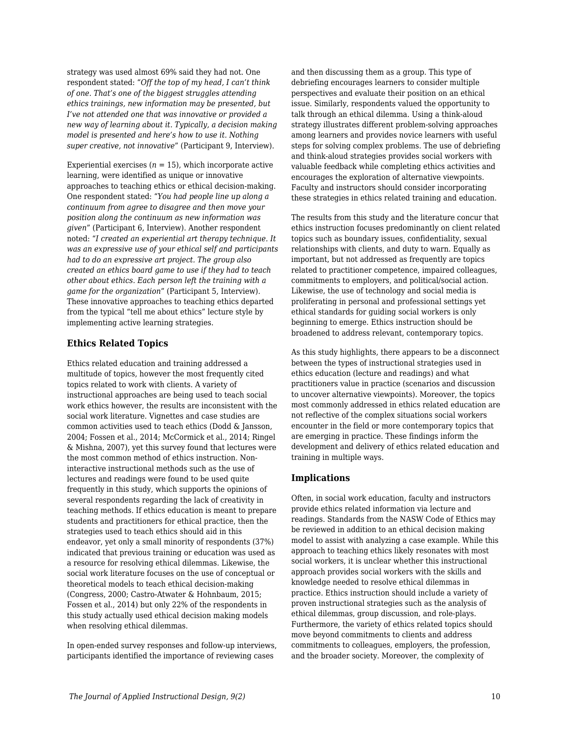strategy was used almost 69% said they had not. One respondent stated: "*Off the top of my head, I can't think of one. That's one of the biggest struggles attending ethics trainings, new information may be presented, but I've not attended one that was innovative or provided a new way of learning about it. Typically, a decision making model is presented and here's how to use it. Nothing super creative, not innovative*" (Participant 9, Interview).

Experiential exercises  $(n = 15)$ , which incorporate active learning, were identified as unique or innovative approaches to teaching ethics or ethical decision-making. One respondent stated: "*You had people line up along a continuum from agree to disagree and then move your position along the continuum as new information was given*" (Participant 6, Interview). Another respondent noted: "*I created an experiential art therapy technique. It was an expressive use of your ethical self and participants had to do an expressive art project. The group also created an ethics board game to use if they had to teach other about ethics. Each person left the training with a game for the organization*" (Participant 5, Interview). These innovative approaches to teaching ethics departed from the typical "tell me about ethics" lecture style by implementing active learning strategies.

## **Ethics Related Topics**

Ethics related education and training addressed a multitude of topics, however the most frequently cited topics related to work with clients. A variety of instructional approaches are being used to teach social work ethics however, the results are inconsistent with the social work literature. Vignettes and case studies are common activities used to teach ethics (Dodd & Jansson, 2004; Fossen et al., 2014; McCormick et al., 2014; Ringel & Mishna, 2007), yet this survey found that lectures were the most common method of ethics instruction. Noninteractive instructional methods such as the use of lectures and readings were found to be used quite frequently in this study, which supports the opinions of several respondents regarding the lack of creativity in teaching methods. If ethics education is meant to prepare students and practitioners for ethical practice, then the strategies used to teach ethics should aid in this endeavor, yet only a small minority of respondents (37%) indicated that previous training or education was used as a resource for resolving ethical dilemmas. Likewise, the social work literature focuses on the use of conceptual or theoretical models to teach ethical decision-making (Congress, 2000; Castro-Atwater & Hohnbaum, 2015; Fossen et al., 2014) but only 22% of the respondents in this study actually used ethical decision making models when resolving ethical dilemmas.

In open-ended survey responses and follow-up interviews, participants identified the importance of reviewing cases

and then discussing them as a group. This type of debriefing encourages learners to consider multiple perspectives and evaluate their position on an ethical issue. Similarly, respondents valued the opportunity to talk through an ethical dilemma. Using a think-aloud strategy illustrates different problem-solving approaches among learners and provides novice learners with useful steps for solving complex problems. The use of debriefing and think-aloud strategies provides social workers with valuable feedback while completing ethics activities and encourages the exploration of alternative viewpoints. Faculty and instructors should consider incorporating these strategies in ethics related training and education.

The results from this study and the literature concur that ethics instruction focuses predominantly on client related topics such as boundary issues, confidentiality, sexual relationships with clients, and duty to warn. Equally as important, but not addressed as frequently are topics related to practitioner competence, impaired colleagues, commitments to employers, and political/social action. Likewise, the use of technology and social media is proliferating in personal and professional settings yet ethical standards for guiding social workers is only beginning to emerge. Ethics instruction should be broadened to address relevant, contemporary topics.

As this study highlights, there appears to be a disconnect between the types of instructional strategies used in ethics education (lecture and readings) and what practitioners value in practice (scenarios and discussion to uncover alternative viewpoints). Moreover, the topics most commonly addressed in ethics related education are not reflective of the complex situations social workers encounter in the field or more contemporary topics that are emerging in practice. These findings inform the development and delivery of ethics related education and training in multiple ways.

## **Implications**

Often, in social work education, faculty and instructors provide ethics related information via lecture and readings. Standards from the NASW Code of Ethics may be reviewed in addition to an ethical decision making model to assist with analyzing a case example. While this approach to teaching ethics likely resonates with most social workers, it is unclear whether this instructional approach provides social workers with the skills and knowledge needed to resolve ethical dilemmas in practice. Ethics instruction should include a variety of proven instructional strategies such as the analysis of ethical dilemmas, group discussion, and role-plays. Furthermore, the variety of ethics related topics should move beyond commitments to clients and address commitments to colleagues, employers, the profession, and the broader society. Moreover, the complexity of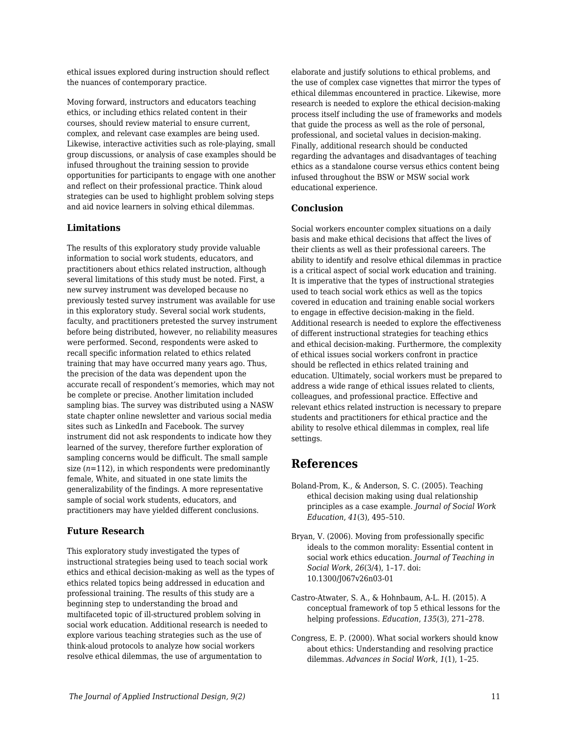ethical issues explored during instruction should reflect the nuances of contemporary practice.

Moving forward, instructors and educators teaching ethics, or including ethics related content in their courses, should review material to ensure current, complex, and relevant case examples are being used. Likewise, interactive activities such as role-playing, small group discussions, or analysis of case examples should be infused throughout the training session to provide opportunities for participants to engage with one another and reflect on their professional practice. Think aloud strategies can be used to highlight problem solving steps and aid novice learners in solving ethical dilemmas.

## **Limitations**

The results of this exploratory study provide valuable information to social work students, educators, and practitioners about ethics related instruction, although several limitations of this study must be noted. First, a new survey instrument was developed because no previously tested survey instrument was available for use in this exploratory study. Several social work students, faculty, and practitioners pretested the survey instrument before being distributed, however, no reliability measures were performed. Second, respondents were asked to recall specific information related to ethics related training that may have occurred many years ago. Thus, the precision of the data was dependent upon the accurate recall of respondent's memories, which may not be complete or precise. Another limitation included sampling bias. The survey was distributed using a NASW state chapter online newsletter and various social media sites such as LinkedIn and Facebook. The survey instrument did not ask respondents to indicate how they learned of the survey, therefore further exploration of sampling concerns would be difficult. The small sample size (*n*=112), in which respondents were predominantly female, White, and situated in one state limits the generalizability of the findings. A more representative sample of social work students, educators, and practitioners may have yielded different conclusions.

#### **Future Research**

This exploratory study investigated the types of instructional strategies being used to teach social work ethics and ethical decision-making as well as the types of ethics related topics being addressed in education and professional training. The results of this study are a beginning step to understanding the broad and multifaceted topic of ill-structured problem solving in social work education. Additional research is needed to explore various teaching strategies such as the use of think-aloud protocols to analyze how social workers resolve ethical dilemmas, the use of argumentation to

elaborate and justify solutions to ethical problems, and the use of complex case vignettes that mirror the types of ethical dilemmas encountered in practice. Likewise, more research is needed to explore the ethical decision-making process itself including the use of frameworks and models that guide the process as well as the role of personal, professional, and societal values in decision-making. Finally, additional research should be conducted regarding the advantages and disadvantages of teaching ethics as a standalone course versus ethics content being infused throughout the BSW or MSW social work educational experience.

## **Conclusion**

Social workers encounter complex situations on a daily basis and make ethical decisions that affect the lives of their clients as well as their professional careers. The ability to identify and resolve ethical dilemmas in practice is a critical aspect of social work education and training. It is imperative that the types of instructional strategies used to teach social work ethics as well as the topics covered in education and training enable social workers to engage in effective decision-making in the field. Additional research is needed to explore the effectiveness of different instructional strategies for teaching ethics and ethical decision-making. Furthermore, the complexity of ethical issues social workers confront in practice should be reflected in ethics related training and education. Ultimately, social workers must be prepared to address a wide range of ethical issues related to clients, colleagues, and professional practice. Effective and relevant ethics related instruction is necessary to prepare students and practitioners for ethical practice and the ability to resolve ethical dilemmas in complex, real life settings.

## **References**

- Boland-Prom, K., & Anderson, S. C. (2005). Teaching ethical decision making using dual relationship principles as a case example. *Journal of Social Work Education*, *41*(3), 495–510.
- Bryan, V. (2006). Moving from professionally specific ideals to the common morality: Essential content in social work ethics education. *Journal of Teaching in Social Work*, *26*(3/4), 1–17. doi: 10.1300/J067v26n03-01
- Castro-Atwater, S. A., & Hohnbaum, A-L. H. (2015). A conceptual framework of top 5 ethical lessons for the helping professions. *Education*, *135*(3), 271–278.
- Congress, E. P. (2000). What social workers should know about ethics: Understanding and resolving practice dilemmas. *Advances in Social Work*, *1*(1), 1–25.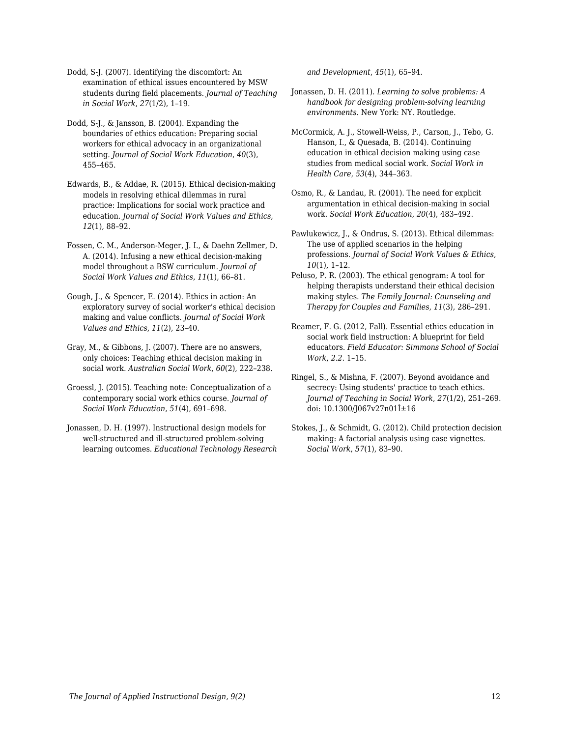Dodd, S-J. (2007). Identifying the discomfort: An examination of ethical issues encountered by MSW students during field placements. *Journal of Teaching in Social Work*, *27*(1/2), 1–19.

Dodd, S-J., & Jansson, B. (2004). Expanding the boundaries of ethics education: Preparing social workers for ethical advocacy in an organizational setting. *Journal of Social Work Education*, *40*(3), 455–465.

Edwards, B., & Addae, R. (2015). Ethical decision-making models in resolving ethical dilemmas in rural practice: Implications for social work practice and education. *Journal of Social Work Values and Ethics*, *12*(1), 88–92.

Fossen, C. M., Anderson-Meger, J. I., & Daehn Zellmer, D. A. (2014). Infusing a new ethical decision-making model throughout a BSW curriculum. *Journal of Social Work Values and Ethics*, *11*(1), 66–81.

Gough, J., & Spencer, E. (2014). Ethics in action: An exploratory survey of social worker's ethical decision making and value conflicts. *Journal of Social Work Values and Ethics*, *11*(2), 23–40.

Gray, M., & Gibbons, J. (2007). There are no answers, only choices: Teaching ethical decision making in social work. *Australian Social Work*, *60*(2), 222–238.

Groessl, J. (2015). Teaching note: Conceptualization of a contemporary social work ethics course. *Journal of Social Work Education*, *51*(4), 691–698.

Jonassen, D. H. (1997). Instructional design models for well-structured and ill-structured problem-solving learning outcomes. *Educational Technology Research* *and Development*, *45*(1), 65–94.

- Jonassen, D. H. (2011). *Learning to solve problems: A handbook for designing problem-solving learning environments*. New York: NY. Routledge.
- McCormick, A. J., Stowell-Weiss, P., Carson, J., Tebo, G. Hanson, I., & Quesada, B. (2014). Continuing education in ethical decision making using case studies from medical social work. *Social Work in Health Care*, *53*(4), 344–363.
- Osmo, R., & Landau, R. (2001). The need for explicit argumentation in ethical decision-making in social work. *Social Work Education*, *20*(4), 483–492.

Pawlukewicz, J., & Ondrus, S. (2013). Ethical dilemmas: The use of applied scenarios in the helping professions. *Journal of Social Work Values & Ethics*, *10*(1), 1–12.

Peluso, P. R. (2003). The ethical genogram: A tool for helping therapists understand their ethical decision making styles. *The Family Journal: Counseling and Therapy for Couples and Families*, *11*(3), 286–291.

Reamer, F. G. (2012, Fall). Essential ethics education in social work field instruction: A blueprint for field educators. *Field Educator: Simmons School of Social Work*, *2.2*. 1–15.

Ringel, S., & Mishna, F. (2007). Beyond avoidance and secrecy: Using students' practice to teach ethics. *Journal of Teaching in Social Work*, *27*(1/2), 251–269. doi:  $10.1300$ /J067v27n01 $\hat{l}$ ±16

Stokes, J., & Schmidt, G. (2012). Child protection decision making: A factorial analysis using case vignettes. *Social Work*, *57*(1), 83–90.